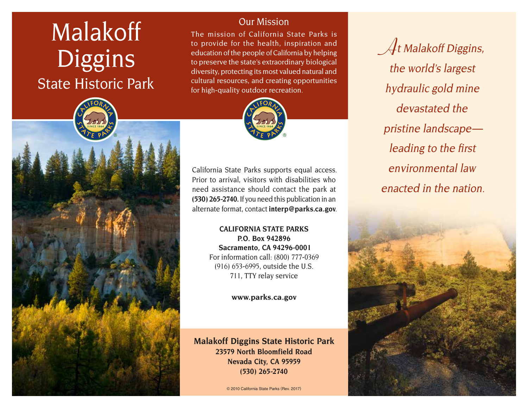# Malakoff Diggins State Historic Park

Our Mission

The mission of California State Parks is to provide for the health, inspiration and education of the people of California by helping to preserve the state's extraordinary biological diversity, protecting its most valued natural and cultural resources, and creating opportunities for high-quality outdoor recreation.



California State Parks supports equal access. Prior to arrival, visitors with disabilities who need assistance should contact the park at **(530) 265-2740.** If you need this publication in an alternate format, contact **[interp@parks.ca.gov](http://interp@parks.ca.gov.)**.

> **CALIFORNIA STATE PARKS P.O. Box 942896 Sacramento, CA 94296-0001** For information call: (800) 777-0369 (916) 653-6995, outside the U.S. 711, TTY relay service

> > **[www.parks.ca.gov](http://www.parks.ca.gov)**

**Malakoff Diggins State Historic Park 23579 North Bloomfield Road Nevada City, CA 95959 (530) 265-2740**

© 2010 California State Parks (Rev. 2017)

**A**t Malakoff Diggins, the world's largest hydraulic gold mine devastated the pristine landscape leading to the first environmental law enacted in the nation.

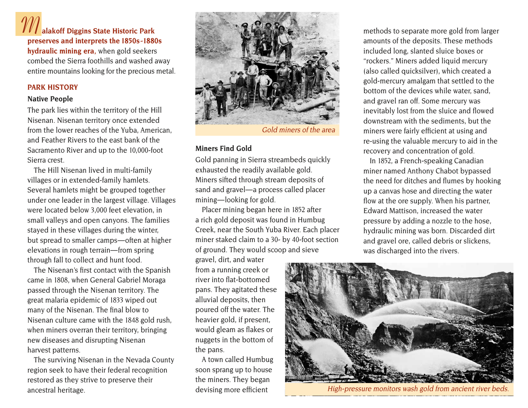## **M alakoff Diggins State Historic Park preserves and interprets the 1850s -1880s**

**hydraulic mining era,** when gold seekers combed the Sierra foothills and washed away entire mountains looking for the precious metal.

#### **PARK HISTORY**

#### **Native People**

The park lies within the territory of the Hill Nisenan. Nisenan territory once extended from the lower reaches of the Yuba, American, and Feather Rivers to the east bank of the Sacramento River and up to the 10,000-foot Sierra crest.

The Hill Nisenan lived in multi-family villages or in extended-family hamlets. Several hamlets might be grouped together under one leader in the largest village. Villages were located below 3,000 feet elevation, in small valleys and open canyons. The families stayed in these villages during the winter, but spread to smaller camps—often at higher elevations in rough terrain— from spring through fall to collect and hunt food.

The Nisenan's first contact with the Spanish came in 1808, when General Gabriel Moraga passed through the Nisenan territory. The great malaria epidemic of 1833 wiped out many of the Nisenan. The final blow to Nisenan culture came with the 1848 gold rush, when miners overran their territory, bringing new diseases and disrupting Nisenan harvest patterns.

The surviving Nisenan in the Nevada County region seek to have their federal recognition restored as they strive to preserve their ancestral heritage.



Gold miners of the area

#### **Miners Find Gold**

Gold panning in Sierra streambeds quickly exhausted the readily available gold. Miners sifted through stream deposits of sand and gravel—a process called placer mining-looking for gold.

Placer mining began here in 1852 after a rich gold deposit was found in Humbug Creek, near the South Yuba River. Each placer miner staked claim to a 30- by 40-foot section of ground. They would scoop and sieve

gravel, dirt, and water from a running creek or river into flat-bottomed pans. They agitated these alluvial deposits, then poured off the water. The heavier gold, if present, would gleam as flakes or nuggets in the bottom of the pans.

A town called Humbug soon sprang up to house the miners. They began devising more efficient

methods to separate more gold from larger amounts of the deposits. These methods included long, slanted sluice boxes or "rockers." Miners added liquid mercury (also called quicksilver), which created a gold-mercury amalgam that settled to the bottom of the devices while water, sand, and gravel ran off. Some mercury was inevitably lost from the sluice and flowed downstream with the sediments, but the miners were fairly efficient at using and re-using the valuable mercury to aid in the recovery and concentration of gold.

In 1852, a French-speaking Canadian miner named Anthony Chabot bypassed the need for ditches and flumes by hooking up a canvas hose and directing the water flow at the ore supply. When his partner, Edward Mattison, increased the water pressure by adding a nozzle to the hose, hydraulic mining was born. Discarded dirt and gravel ore, called debris or slickens, was discharged into the rivers.



High-pressure monitors wash gold from ancient river beds.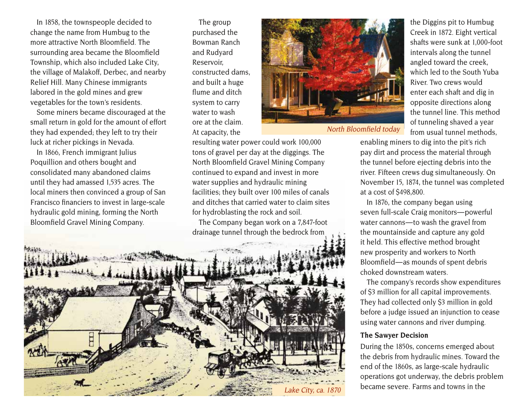In 1858, the townspeople decided to change the name from Humbug to the more attractive North Bloomfield. The surrounding area became the Bloomfield Township, which also included Lake City, the village of Malakoff, Derbec, and nearby Relief Hill. Many Chinese immigrants labored in the gold mines and grew vegetables for the town's residents.

Some miners became discouraged at the small return in gold for the amount of effort they had expended; they left to try their luck at richer pickings in Nevada.

In 1866, French immigrant Julius Poquillion and others bought and consolidated many abandoned claims until they had amassed 1,535 acres. The local miners then convinced a group of San Francisco financiers to invest in large-scale hydraulic gold mining, forming the North

The group purchased the Bowman Ranch and Rudyard Reservoir, constructed dams, and built a huge flume and ditch system to carry water to wash ore at the claim. At capacity, the

resulting water power could work 100,000 tons of gravel per day at the diggings. The North Bloomfield Gravel Mining Company continued to expand and invest in more water supplies and hydraulic mining

facilities; they built over 100 miles of canals and ditches that carried water to claim sites

for hydroblasting the rock and soil.



North Bloomfield today

the Diggins pit to Humbug Creek in 1872. Eight vertical shafts were sunk at 1,000-foot intervals along the tunnel angled toward the creek, which led to the South Yuba River. Two crews would enter each shaft and dig in opposite directions along the tunnel line. This method of tunneling shaved a year from usual tunnel methods,

enabling miners to dig into the pit's rich pay dirt and process the material through the tunnel before ejecting debris into the river. Fifteen crews dug simultaneously. On November 15, 1874, the tunnel was completed at a cost of \$498,800.

In 1876, the company began using seven full-scale Craig monitors — powerful water cannons- to wash the gravel from the mountainside and capture any gold it held. This effective method brought new prosperity and workers to North Bloomfield — as mounds of spent debris choked downstream waters.

The company's records show expenditures of \$3 million for all capital improvements. They had collected only \$3 million in gold before a judge issued an injunction to cease using water cannons and river dumping.

#### **The Sawyer Decision**

During the 1850s, concerns emerged about the debris from hydraulic mines. Toward the end of the 1860s, as large-scale hydraulic operations got underway, the debris problem became severe. Farms and towns in the

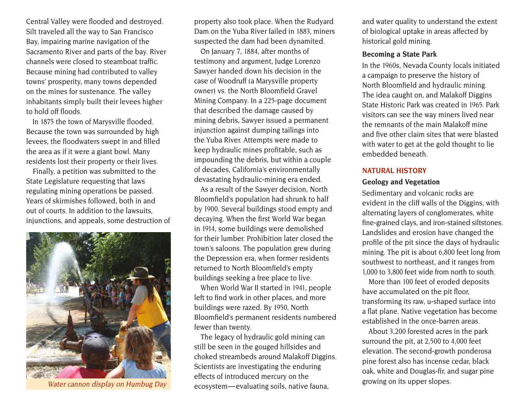Central Valley were flooded and destroyed. Silt traveled all the way to San Francisco Bay, impairing marine navigation of the Sacramento River and parts of the bay. River channels were closed to steamboat traffic. Because mining had contributed to valley towns' prosperity, many towns depended on the mines for sustenance. The valley inhabitants simply built their levees higher to hold off floods.

In 1875 the town of Marysville flooded. Because the town was surrounded by high levees, the floodwaters swept in and filled the area as if it were a giant bowl. Many residents lost their property or their lives.

Finally, a petition was submitted to the State Legislature requesting that laws regulating mining operations be passed. Years of skirmishes followed, both in and out of courts. In addition to the lawsuits, injunctions, and appeals, some destruction of



property also took place. When the Rudyard Dam on the Yuba River failed in 1883, miners suspected the dam had been dynamited.

On January 7, 1884, after months of testimony and argument, Judge Lorenzo Sawyer handed down his decision in the case of Woodruff (a Marysville property owner) vs. the North Bloomfield Gravel Mining Company. In a 225-page document that described the damage caused by mining debris, Sawyer issued a permanent injunction against dumping tailings into the Yuba River. Attempts were made to keep hydraulic mines profitable, such as impounding the debris, but within a couple of decades, California's environmentally devastating hydraulic-mining era ended.

As a result of the Sawyer decision, North Bloomfield's population had shrunk to half by 1900. Several buildings stood empty and decaying. When the first World War began in 1914, some buildings were demolished for their lumber. Prohibition later closed the town's saloons. The population grew during the Depression era, when former residents returned to North Bloomfield's empty buildings seeking a free place to live.

When World War II started in 1941, people left to find work in other places, and more buildings were razed. By 1950, North Bloomfield's permanent residents numbered fewer than twenty.

The legacy of hydraulic gold mining can still be seen in the gouged hillsides and choked streambeds around Malakoff Diggins. Scientists are investigating the enduring effects of introduced mercury on the ecosystem— evaluating soils, native fauna, Water cannon display on Humbug Day<br>
growing on its upper slopes.

and water quality to understand the extent of biological uptake in areas affected by historical gold mining.

#### **Becoming a State Park**

In the 1960s, Nevada County locals initiated a campaign to preserve the history of North Bloomfield and hydraulic mining. The idea caught on, and Malakoff Diggins State Historic Park was created in 1965. Park visitors can see the way miners lived near the remnants of the main Malakoff mine and five other claim sites that were blasted with water to get at the gold thought to lie embedded beneath.

#### **NATURAL HISTORY**

#### **Geology and Vegetation**

Sedimentary and volcanic rocks are evident in the cliff walls of the Diggins, with alternating layers of conglomerates, white fine-grained clays, and iron-stained siltstones. Landslides and erosion have changed the profile of the pit since the days of hydraulic mining. The pit is about 6,800 feet long from southwest to northeast, and it ranges from 1,000 to 3,800 feet wide from north to south.

More than 100 feet of eroded deposits have accumulated on the pit floor, transforming its raw, u-shaped surface into a flat plane. Native vegetation has become established in the once-barren areas.

About 3,200 forested acres in the park surround the pit, at 2,500 to 4,000 feet elevation. The second-growth ponderosa pine forest also has incense cedar, black oak, white and Douglas-fir, and sugar pine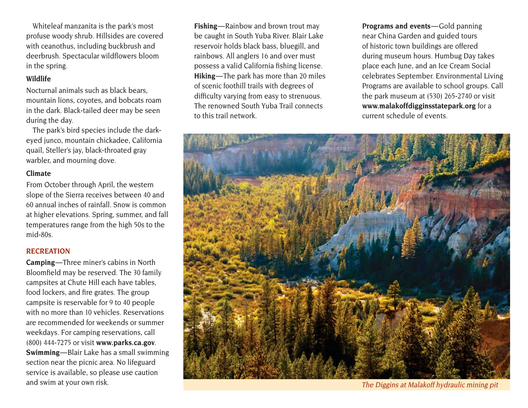Whiteleaf manzanita is the park's most profuse woody shrub. Hillsides are covered with ceanothus, including buckbrush and deerbrush. Spectacular wildflowers bloom in the spring.

#### **Wildlife**

Nocturnal animals such as black bears, mountain lions, coyotes, and bobcats roam in the dark. Black-tailed deer may be seen during the day.

The park's bird species include the darkeyed junco, mountain chickadee, California quail, Steller's jay, black-throated gray warbler, and mourning dove.

#### **Climate**

From October through April, the western slope of the Sierra receives between 40 and 60 annual inches of rainfall. Snow is common at higher elevations. Spring, summer, and fall temperatures range from the high 50s to the mid-80s.

#### **RECREATION**

**Camping**—Three miner's cabins in North Bloomfield may be reserved. The 30 family campsites at Chute Hill each have tables, food lockers, and fire grates. The group campsite is reservable for 9 to 40 people with no more than 10 vehicles. Reservations are recommended for weekends or summer weekdays. For camping reservations, call (800) 444-7275 or visit **www.parks.ca.gov**. **Swimming**—Blair Lake has a small swimming section near the picnic area. No lifeguard service is available, so please use caution and swim at your own risk.

**Fishing**—Rainbow and brown trout may be caught in South Yuba River. Blair Lake reservoir holds black bass, bluegill, and rainbows. All anglers 16 and over must possess a valid California fishing license. **Hiking**—The park has more than 20 miles of scenic foothill trails with degrees of difficulty varying from easy to strenuous. The renowned South Yuba Trail connects to this trail network.

Programs and events-Gold panning near China Garden and guided tours of historic town buildings are offered during museum hours. Humbug Day takes place each June, and an Ice Cream Social celebrates September. Environmental Living Programs are available to school groups. Call the park museum at (530) 265-2740 or visit **www.malakoffdigginsstatepark.org** for a current schedule of events.



The Diggins at Malakoff hydraulic mining pit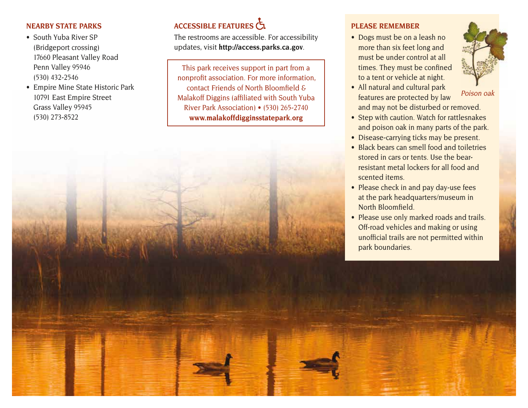#### **NEARBY STATE PARKS**

- South Yuba River SP (Bridgeport crossing) 17660 Pleasant Valley Road Penn Valley 95946 (530) 432-2546
- Empire Mine State Historic Park 10791 East Empire Street Grass Valley 95945 (530) 273-8522

## **ACCESSIBLE FEATURES**

The restrooms are accessible. For accessibility updates, visit **<http://access.parks.ca.gov>**.

This park receives support in part from a nonprofit association. For more information, contact Friends of North Bloomfield & Malakoff Diggins (affiliated with South Yuba River Park Association) • (530) 265-2740 **[www.malakoffdigginsstatepark.org](http://www.malakoffdigginsstatepark.org)**

### **PLEASE REMEMBER**

• Dogs must be on a leash no more than six feet long and must be under control at all times. They must be confined to a tent or vehicle at night.



Poison oak

- All natural and cultural park features are protected by law and may not be disturbed or removed.
- Step with caution. Watch for rattlesnakes and poison oak in many parts of the park.
- Disease-carrying ticks may be present.
- Black bears can smell food and toiletries stored in cars or tents. Use the bearresistant metal lockers for all food and scented items.
- Please check in and pay day-use fees at the park headquarters/museum in North Bloomfield.
- Please use only marked roads and trails. Off-road vehicles and making or using unofficial trails are not permitted within park boundaries.